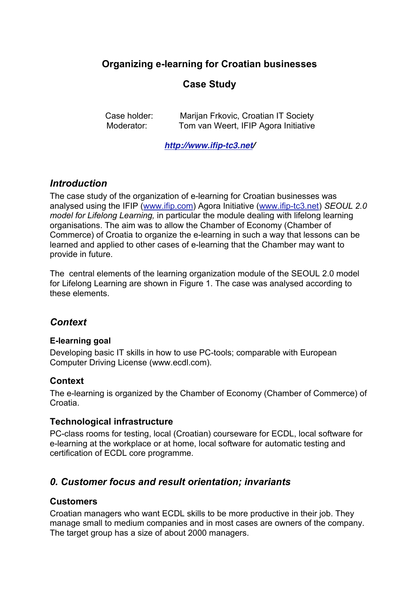# **Organizing e-learning for Croatian businesses**

# **Case Study**

Case holder: Marijan Frkovic, Croatian IT Society Moderator: Tom van Weert, IFIP Agora Initiative

**http://www.ifip-tc3.net/**

### *Introduction*

The case study of the organization of e-learning for Croatian businesses was analysed using the IFIP (www.ifip.com) Agora Initiative (www.ifip-tc3.net) *SEOUL 2.0 model for Lifelong Learning,* in particular the module dealing with lifelong learning organisations. The aim was to allow the Chamber of Economy (Chamber of Commerce) of Croatia to organize the e-learning in such a way that lessons can be learned and applied to other cases of e-learning that the Chamber may want to provide in future.

The central elements of the learning organization module of the SEOUL 2.0 model for Lifelong Learning are shown in Figure 1. The case was analysed according to these elements.

### *Context*

### **E-learning goal**

Developing basic IT skills in how to use PC-tools; comparable with European Computer Driving License (www.ecdl.com).

### **Context**

The e-learning is organized by the Chamber of Economy (Chamber of Commerce) of Croatia.

### **Technological infrastructure**

PC-class rooms for testing, local (Croatian) courseware for ECDL, local software for e-learning at the workplace or at home, local software for automatic testing and certification of ECDL core programme.

### *0. Customer focus and result orientation; invariants*

### **Customers**

Croatian managers who want ECDL skills to be more productive in their job. They manage small to medium companies and in most cases are owners of the company. The target group has a size of about 2000 managers.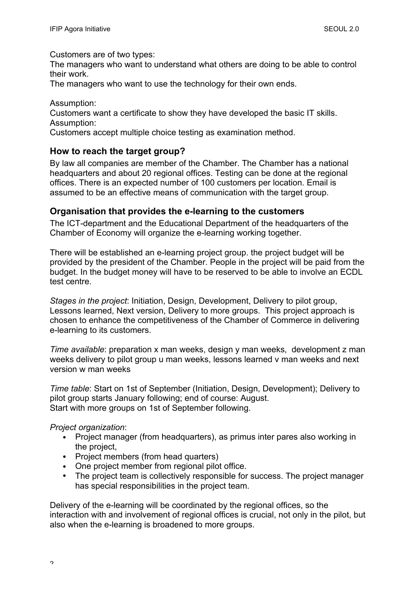Customers are of two types:

The managers who want to understand what others are doing to be able to control their work.

The managers who want to use the technology for their own ends.

Assumption: Customers want a certificate to show they have developed the basic IT skills. Assumption:

Customers accept multiple choice testing as examination method.

### **How to reach the target group?**

By law all companies are member of the Chamber. The Chamber has a national headquarters and about 20 regional offices. Testing can be done at the regional offices. There is an expected number of 100 customers per location. Email is assumed to be an effective means of communication with the target group.

#### **Organisation that provides the e-learning to the customers**

The ICT-department and the Educational Department of the headquarters of the Chamber of Economy will organize the e-learning working together.

There will be established an e-learning project group. the project budget will be provided by the president of the Chamber. People in the project will be paid from the budget. In the budget money will have to be reserved to be able to involve an ECDL test centre.

*Stages in the project*: Initiation, Design, Development, Delivery to pilot group, Lessons learned, Next version, Delivery to more groups. This project approach is chosen to enhance the competitiveness of the Chamber of Commerce in delivering e-learning to its customers.

*Time available*: preparation x man weeks, design y man weeks, development z man weeks delivery to pilot group u man weeks, lessons learned v man weeks and next version w man weeks

*Time table*: Start on 1st of September (Initiation, Design, Development); Delivery to pilot group starts January following; end of course: August. Start with more groups on 1st of September following.

#### *Project organization*:

- Project manager (from headquarters), as primus inter pares also working in the project,
- Project members (from head quarters)
- One project member from regional pilot office.
- The project team is collectively responsible for success. The project manager has special responsibilities in the project team.

Delivery of the e-learning will be coordinated by the regional offices, so the interaction with and involvement of regional offices is crucial, not only in the pilot, but also when the e-learning is broadened to more groups.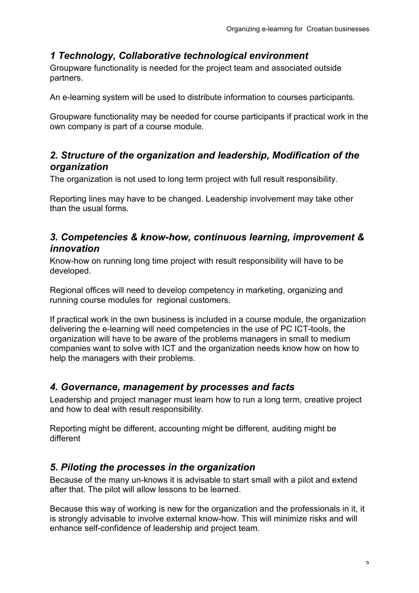# *1 Technology, Collaborative technological environment*

Groupware functionality is needed for the project team and associated outside partners.

An e-learning system will be used to distribute information to courses participants.

Groupware functionality may be needed for course participants if practical work in the own company is part of a course module.

### *2. Structure of the organization and leadership, Modification of the organization*

The organization is not used to long term project with full result responsibility.

Reporting lines may have to be changed. Leadership involvement may take other than the usual forms.

### *3. Competencies & know-how, continuous learning, improvement & innovation*

Know-how on running long time project with result responsibility will have to be developed.

Regional offices will need to develop competency in marketing, organizing and running course modules for regional customers.

If practical work in the own business is included in a course module, the organization delivering the e-learning will need competencies in the use of PC ICT-tools, the organization will have to be aware of the problems managers in small to medium companies want to solve with ICT and the organization needs know how on how to help the managers with their problems.

# *4. Governance, management by processes and facts*

Leadership and project manager must learn how to run a long term, creative project and how to deal with result responsibility.

Reporting might be different, accounting might be different, auditing might be different

# *5. Piloting the processes in the organization*

Because of the many un-knows it is advisable to start small with a pilot and extend after that. The pilot will allow lessons to be learned.

Because this way of working is new for the organization and the professionals in it, it is strongly advisable to involve external know-how. This will minimize risks and will enhance self-confidence of leadership and project team.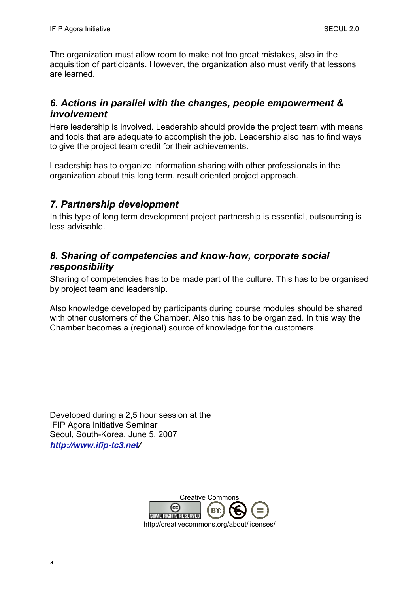The organization must allow room to make not too great mistakes, also in the acquisition of participants. However, the organization also must verify that lessons are learned.

### *6. Actions in parallel with the changes, people empowerment & involvement*

Here leadership is involved. Leadership should provide the project team with means and tools that are adequate to accomplish the job. Leadership also has to find ways to give the project team credit for their achievements.

Leadership has to organize information sharing with other professionals in the organization about this long term, result oriented project approach.

### *7. Partnership development*

In this type of long term development project partnership is essential, outsourcing is less advisable.

### *8. Sharing of competencies and know-how, corporate social responsibility*

Sharing of competencies has to be made part of the culture. This has to be organised by project team and leadership.

Also knowledge developed by participants during course modules should be shared with other customers of the Chamber. Also this has to be organized. In this way the Chamber becomes a (regional) source of knowledge for the customers.

Developed during a 2,5 hour session at the IFIP Agora Initiative Seminar Seoul, South-Korea, June 5, 2007 **http://www.ifip-tc3.net/**